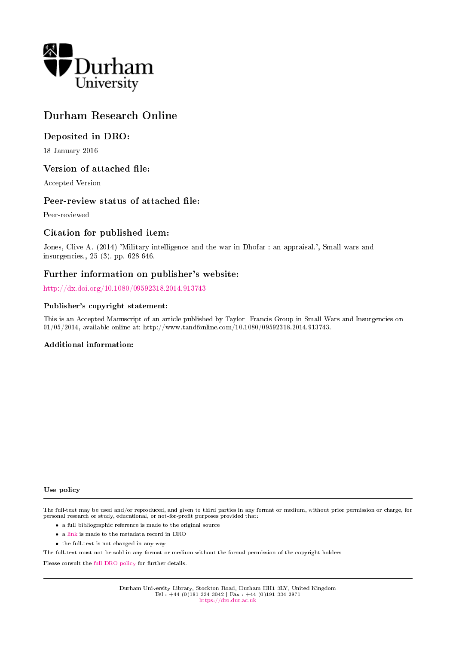

# Durham Research Online

# Deposited in DRO:

18 January 2016

## Version of attached file:

Accepted Version

## Peer-review status of attached file:

Peer-reviewed

# Citation for published item:

Jones, Clive A. (2014) 'Military intelligence and the war in Dhofar : an appraisal.', Small wars and insurgencies., 25 (3). pp. 628-646.

# Further information on publisher's website:

<http://dx.doi.org/10.1080/09592318.2014.913743>

## Publisher's copyright statement:

This is an Accepted Manuscript of an article published by Taylor Francis Group in Small Wars and Insurgencies on 01/05/2014, available online at: http://www.tandfonline.com/10.1080/09592318.2014.913743.

## Additional information:

#### Use policy

The full-text may be used and/or reproduced, and given to third parties in any format or medium, without prior permission or charge, for personal research or study, educational, or not-for-profit purposes provided that:

- a full bibliographic reference is made to the original source
- a [link](http://dro.dur.ac.uk/17178/) is made to the metadata record in DRO
- the full-text is not changed in any way

The full-text must not be sold in any format or medium without the formal permission of the copyright holders.

Please consult the [full DRO policy](https://dro.dur.ac.uk/policies/usepolicy.pdf) for further details.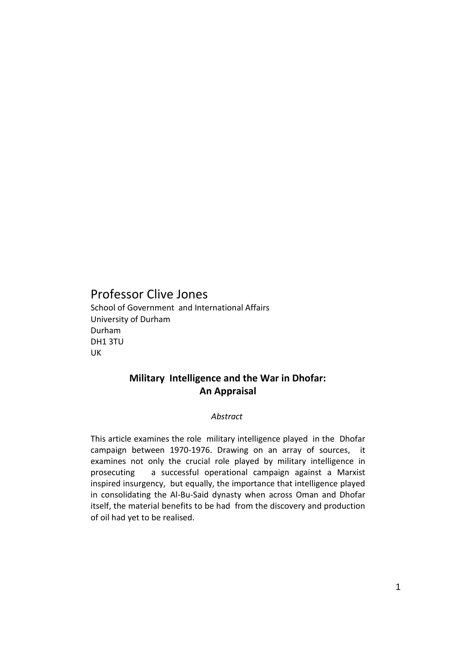# Professor Clive Jones

School of Government and International Affairs University of Durham Durham DH1 3TU UK

# **Military Intelligence and the War in Dhofar: An Appraisal**

## *Abstract*

This article examines the role military intelligence played in the Dhofar campaign between 1970-1976. Drawing on an array of sources, it examines not only the crucial role played by military intelligence in prosecuting a successful operational campaign against a Marxist inspired insurgency, but equally, the importance that intelligence played in consolidating the Al-Bu-Said dynasty when across Oman and Dhofar itself, the material benefits to be had from the discovery and production of oil had yet to be realised.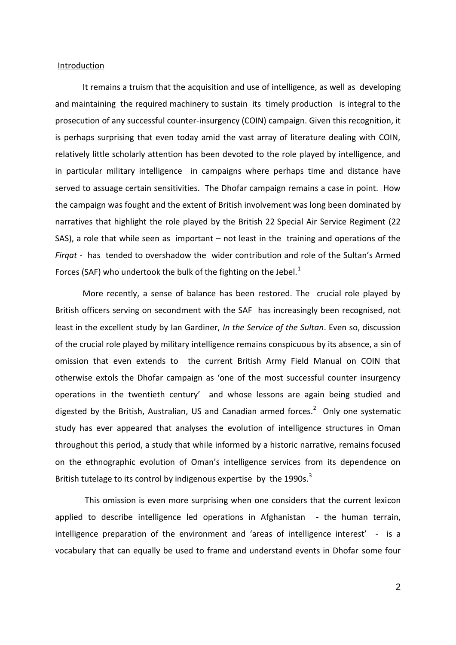### Introduction

It remains a truism that the acquisition and use of intelligence, as well as developing and maintaining the required machinery to sustain its timely production is integral to the prosecution of any successful counter-insurgency (COIN) campaign. Given this recognition, it is perhaps surprising that even today amid the vast array of literature dealing with COIN, relatively little scholarly attention has been devoted to the role played by intelligence, and in particular military intelligence in campaigns where perhaps time and distance have served to assuage certain sensitivities. The Dhofar campaign remains a case in point. How the campaign was fought and the extent of British involvement was long been dominated by narratives that highlight the role played by the British 22 Special Air Service Regiment (22 SAS), a role that while seen as important – not least in the training and operations of the *Firqat -* has tended to overshadow the wider contribution and role of the Sultan's Armed Forces (SAF) who undertook the bulk of the fighting on the Jebel. $<sup>1</sup>$ </sup>

More recently, a sense of balance has been restored. The crucial role played by British officers serving on secondment with the SAF has increasingly been recognised, not least in the excellent study by Ian Gardiner, *In the Service of the Sultan*. Even so, discussion of the crucial role played by military intelligence remains conspicuous by its absence, a sin of omission that even extends to the current British Army Field Manual on COIN that otherwise extols the Dhofar campaign as 'one of the most successful counter insurgency operations in the twentieth century' and whose lessons are again being studied and digested by the British, Australian, US and Canadian armed forces. $2$  Only one systematic study has ever appeared that analyses the evolution of intelligence structures in Oman throughout this period, a study that while informed by a historic narrative, remains focused on the ethnographic evolution of Oman's intelligence services from its dependence on British tutelage to its control by indigenous expertise by the 1990s. $3$ 

This omission is even more surprising when one considers that the current lexicon applied to describe intelligence led operations in Afghanistan - the human terrain, intelligence preparation of the environment and 'areas of intelligence interest' - is a vocabulary that can equally be used to frame and understand events in Dhofar some four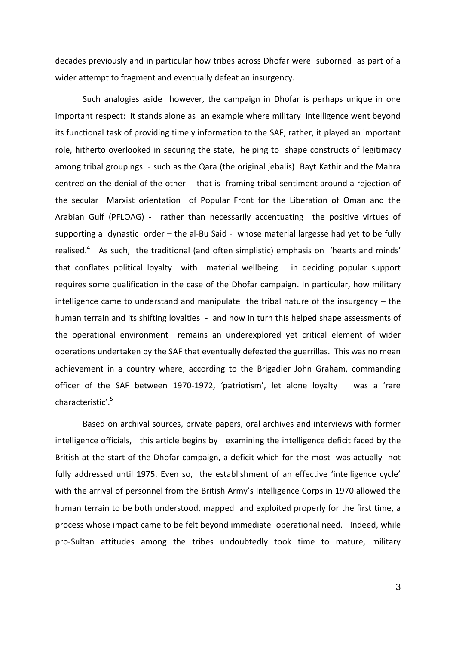decades previously and in particular how tribes across Dhofar were suborned as part of a wider attempt to fragment and eventually defeat an insurgency.

Such analogies aside however, the campaign in Dhofar is perhaps unique in one important respect: it stands alone as an example where military intelligence went beyond its functional task of providing timely information to the SAF; rather, it played an important role, hitherto overlooked in securing the state, helping to shape constructs of legitimacy among tribal groupings - such as the Qara (the original jebalis) Bayt Kathir and the Mahra centred on the denial of the other - that is framing tribal sentiment around a rejection of the secular Marxist orientation of Popular Front for the Liberation of Oman and the Arabian Gulf (PFLOAG) - rather than necessarily accentuating the positive virtues of supporting a dynastic order – the al-Bu Said - whose material largesse had yet to be fully realised.<sup>4</sup> As such, the traditional (and often simplistic) emphasis on 'hearts and minds' that conflates political loyalty with material wellbeing in deciding popular support requires some qualification in the case of the Dhofar campaign. In particular, how military intelligence came to understand and manipulate the tribal nature of the insurgency – the human terrain and its shifting loyalties - and how in turn this helped shape assessments of the operational environment remains an underexplored yet critical element of wider operations undertaken by the SAF that eventually defeated the guerrillas. This was no mean achievement in a country where, according to the Brigadier John Graham, commanding officer of the SAF between 1970-1972, 'patriotism', let alone loyalty was a 'rare characteristic'.<sup>5</sup>

Based on archival sources, private papers, oral archives and interviews with former intelligence officials, this article begins by examining the intelligence deficit faced by the British at the start of the Dhofar campaign, a deficit which for the most was actually not fully addressed until 1975. Even so, the establishment of an effective 'intelligence cycle' with the arrival of personnel from the British Army's Intelligence Corps in 1970 allowed the human terrain to be both understood, mapped and exploited properly for the first time, a process whose impact came to be felt beyond immediate operational need. Indeed, while pro-Sultan attitudes among the tribes undoubtedly took time to mature, military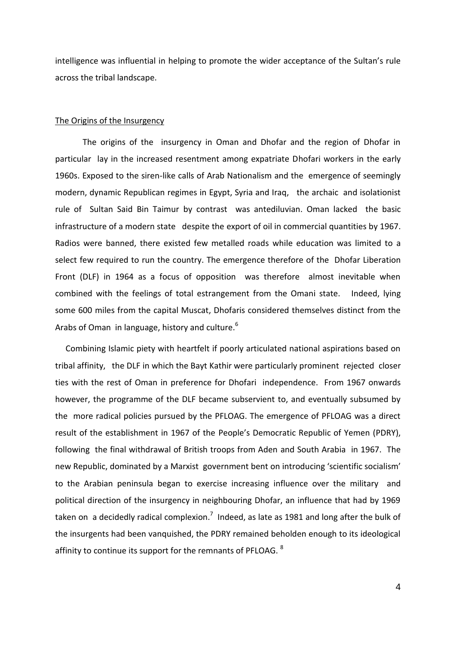intelligence was influential in helping to promote the wider acceptance of the Sultan's rule across the tribal landscape.

### The Origins of the Insurgency

The origins of the insurgency in Oman and Dhofar and the region of Dhofar in particular lay in the increased resentment among expatriate Dhofari workers in the early 1960s. Exposed to the siren-like calls of Arab Nationalism and the emergence of seemingly modern, dynamic Republican regimes in Egypt, Syria and Iraq, the archaic and isolationist rule of Sultan Said Bin Taimur by contrast was antediluvian. Oman lacked the basic infrastructure of a modern state despite the export of oil in commercial quantities by 1967. Radios were banned, there existed few metalled roads while education was limited to a select few required to run the country. The emergence therefore of the Dhofar Liberation Front (DLF) in 1964 as a focus of opposition was therefore almost inevitable when combined with the feelings of total estrangement from the Omani state. Indeed, lying some 600 miles from the capital Muscat, Dhofaris considered themselves distinct from the Arabs of Oman in language, history and culture.<sup>6</sup>

 Combining Islamic piety with heartfelt if poorly articulated national aspirations based on tribal affinity, the DLF in which the Bayt Kathir were particularly prominent rejected closer ties with the rest of Oman in preference for Dhofari independence. From 1967 onwards however, the programme of the DLF became subservient to, and eventually subsumed by the more radical policies pursued by the PFLOAG. The emergence of PFLOAG was a direct result of the establishment in 1967 of the People's Democratic Republic of Yemen (PDRY), following the final withdrawal of British troops from Aden and South Arabia in 1967. The new Republic, dominated by a Marxist government bent on introducing 'scientific socialism' to the Arabian peninsula began to exercise increasing influence over the military and political direction of the insurgency in neighbouring Dhofar, an influence that had by 1969 taken on a decidedly radical complexion.<sup>7</sup> Indeed, as late as 1981 and long after the bulk of the insurgents had been vanquished, the PDRY remained beholden enough to its ideological affinity to continue its support for the remnants of PFLOAG. <sup>8</sup>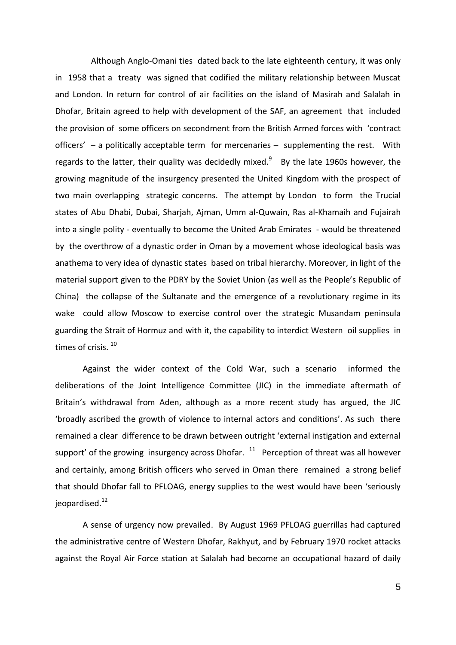Although Anglo-Omani ties dated back to the late eighteenth century, it was only in 1958 that a treaty was signed that codified the military relationship between Muscat and London. In return for control of air facilities on the island of Masirah and Salalah in Dhofar, Britain agreed to help with development of the SAF, an agreement that included the provision of some officers on secondment from the British Armed forces with 'contract officers' – a politically acceptable term for mercenaries – supplementing the rest. With regards to the latter, their quality was decidedly mixed. $9$  By the late 1960s however, the growing magnitude of the insurgency presented the United Kingdom with the prospect of two main overlapping strategic concerns. The attempt by London to form the Trucial states of Abu Dhabi, Dubai, Sharjah, Ajman, Umm al-Quwain, Ras al-Khamaih and Fujairah into a single polity - eventually to become the United Arab Emirates - would be threatened by the overthrow of a dynastic order in Oman by a movement whose ideological basis was anathema to very idea of dynastic states based on tribal hierarchy. Moreover, in light of the material support given to the PDRY by the Soviet Union (as well as the People's Republic of China) the collapse of the Sultanate and the emergence of a revolutionary regime in its wake could allow Moscow to exercise control over the strategic Musandam peninsula guarding the Strait of Hormuz and with it, the capability to interdict Western oil supplies in times of crisis. 10

Against the wider context of the Cold War, such a scenario informed the deliberations of the Joint Intelligence Committee (JIC) in the immediate aftermath of Britain's withdrawal from Aden, although as a more recent study has argued, the JIC 'broadly ascribed the growth of violence to internal actors and conditions'. As such there remained a clear difference to be drawn between outright 'external instigation and external support' of the growing insurgency across Dhofar.  $11$  Perception of threat was all however and certainly, among British officers who served in Oman there remained a strong belief that should Dhofar fall to PFLOAG, energy supplies to the west would have been 'seriously jeopardised.<sup>12</sup>

A sense of urgency now prevailed. By August 1969 PFLOAG guerrillas had captured the administrative centre of Western Dhofar, Rakhyut, and by February 1970 rocket attacks against the Royal Air Force station at Salalah had become an occupational hazard of daily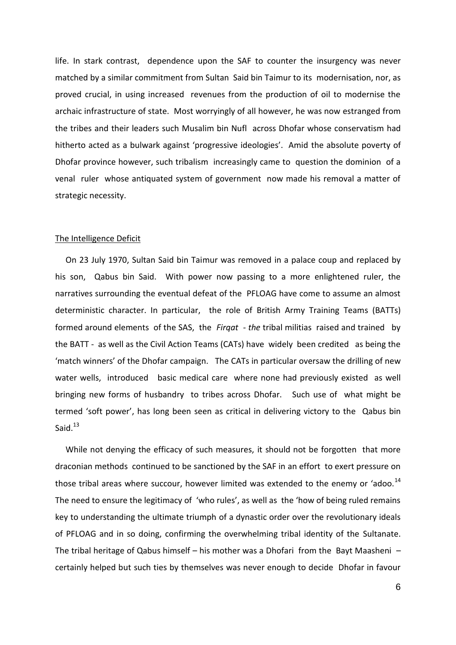life. In stark contrast, dependence upon the SAF to counter the insurgency was never matched by a similar commitment from Sultan Said bin Taimur to its modernisation, nor, as proved crucial, in using increased revenues from the production of oil to modernise the archaic infrastructure of state. Most worryingly of all however, he was now estranged from the tribes and their leaders such Musalim bin Nufl across Dhofar whose conservatism had hitherto acted as a bulwark against 'progressive ideologies'. Amid the absolute poverty of Dhofar province however, such tribalism increasingly came to question the dominion of a venal ruler whose antiquated system of government now made his removal a matter of strategic necessity.

#### The Intelligence Deficit

 On 23 July 1970, Sultan Said bin Taimur was removed in a palace coup and replaced by his son, Qabus bin Said. With power now passing to a more enlightened ruler, the narratives surrounding the eventual defeat of the PFLOAG have come to assume an almost deterministic character. In particular, the role of British Army Training Teams (BATTs) formed around elements of the SAS, the *Firqat - the* tribal militias raised and trained by the BATT - as well as the Civil Action Teams (CATs) have widely been credited as being the 'match winners' of the Dhofar campaign. The CATs in particular oversaw the drilling of new water wells, introduced basic medical care where none had previously existed as well bringing new forms of husbandry to tribes across Dhofar. Such use of what might be termed 'soft power', has long been seen as critical in delivering victory to the Qabus bin Said. $13$ 

 While not denying the efficacy of such measures, it should not be forgotten that more draconian methods continued to be sanctioned by the SAF in an effort to exert pressure on those tribal areas where succour, however limited was extended to the enemy or 'adoo.<sup>14</sup> The need to ensure the legitimacy of 'who rules', as well as the 'how of being ruled remains key to understanding the ultimate triumph of a dynastic order over the revolutionary ideals of PFLOAG and in so doing, confirming the overwhelming tribal identity of the Sultanate. The tribal heritage of Qabus himself – his mother was a Dhofari from the Bayt Maasheni – certainly helped but such ties by themselves was never enough to decide Dhofar in favour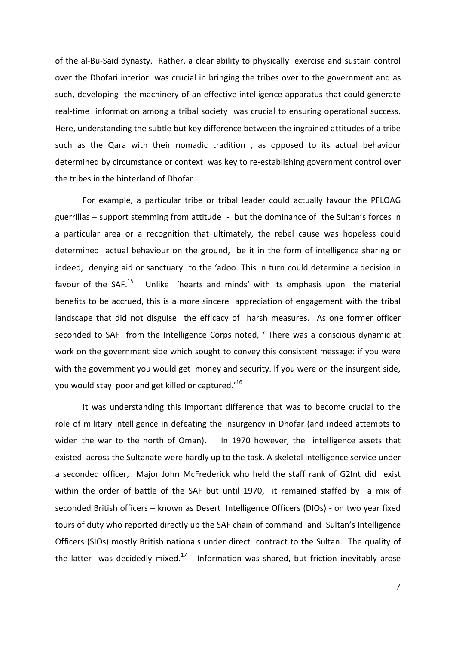of the al-Bu-Said dynasty. Rather, a clear ability to physically exercise and sustain control over the Dhofari interior was crucial in bringing the tribes over to the government and as such, developing the machinery of an effective intelligence apparatus that could generate real-time information among a tribal society was crucial to ensuring operational success. Here, understanding the subtle but key difference between the ingrained attitudes of a tribe such as the Qara with their nomadic tradition , as opposed to its actual behaviour determined by circumstance or context was key to re-establishing government control over the tribes in the hinterland of Dhofar.

For example, a particular tribe or tribal leader could actually favour the PFLOAG guerrillas – support stemming from attitude - but the dominance of the Sultan's forces in a particular area or a recognition that ultimately, the rebel cause was hopeless could determined actual behaviour on the ground, be it in the form of intelligence sharing or indeed, denying aid or sanctuary to the 'adoo. This in turn could determine a decision in favour of the SAF.<sup>15</sup> Unlike 'hearts and minds' with its emphasis upon the material benefits to be accrued, this is a more sincere appreciation of engagement with the tribal landscape that did not disguise the efficacy of harsh measures. As one former officer seconded to SAF from the Intelligence Corps noted, ' There was a conscious dynamic at work on the government side which sought to convey this consistent message: if you were with the government you would get money and security. If you were on the insurgent side, you would stay poor and get killed or captured.' $^{16}$ 

It was understanding this important difference that was to become crucial to the role of military intelligence in defeating the insurgency in Dhofar (and indeed attempts to widen the war to the north of Oman). In 1970 however, the intelligence assets that existed across the Sultanate were hardly up to the task. A skeletal intelligence service under a seconded officer, Major John McFrederick who held the staff rank of G2Int did exist within the order of battle of the SAF but until 1970, it remained staffed by a mix of seconded British officers – known as Desert Intelligence Officers (DIOs) - on two year fixed tours of duty who reported directly up the SAF chain of command and Sultan's Intelligence Officers (SIOs) mostly British nationals under direct contract to the Sultan. The quality of the latter was decidedly mixed. $17$  Information was shared, but friction inevitably arose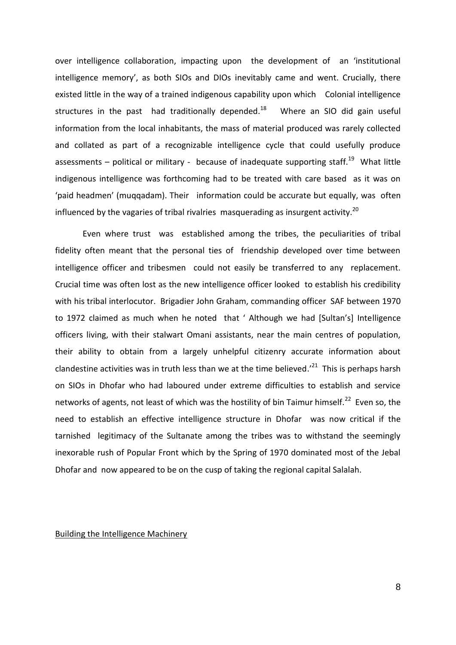over intelligence collaboration, impacting upon the development of an 'institutional intelligence memory', as both SIOs and DIOs inevitably came and went. Crucially, there existed little in the way of a trained indigenous capability upon which Colonial intelligence structures in the past had traditionally depended.<sup>18</sup> Where an SIO did gain useful information from the local inhabitants, the mass of material produced was rarely collected and collated as part of a recognizable intelligence cycle that could usefully produce assessments  $-$  political or military - because of inadequate supporting staff.<sup>19</sup> What little indigenous intelligence was forthcoming had to be treated with care based as it was on 'paid headmen' (muqqadam). Their information could be accurate but equally, was often influenced by the vagaries of tribal rivalries masquerading as insurgent activity.<sup>20</sup>

Even where trust was established among the tribes, the peculiarities of tribal fidelity often meant that the personal ties of friendship developed over time between intelligence officer and tribesmen could not easily be transferred to any replacement. Crucial time was often lost as the new intelligence officer looked to establish his credibility with his tribal interlocutor. Brigadier John Graham, commanding officer SAF between 1970 to 1972 claimed as much when he noted that ' Although we had [Sultan's] Intelligence officers living, with their stalwart Omani assistants, near the main centres of population, their ability to obtain from a largely unhelpful citizenry accurate information about clandestine activities was in truth less than we at the time believed.<sup> $21$ </sup> This is perhaps harsh on SIOs in Dhofar who had laboured under extreme difficulties to establish and service networks of agents, not least of which was the hostility of bin Taimur himself.<sup>22</sup> Even so, the need to establish an effective intelligence structure in Dhofar was now critical if the tarnished legitimacy of the Sultanate among the tribes was to withstand the seemingly inexorable rush of Popular Front which by the Spring of 1970 dominated most of the Jebal Dhofar and now appeared to be on the cusp of taking the regional capital Salalah.

## Building the Intelligence Machinery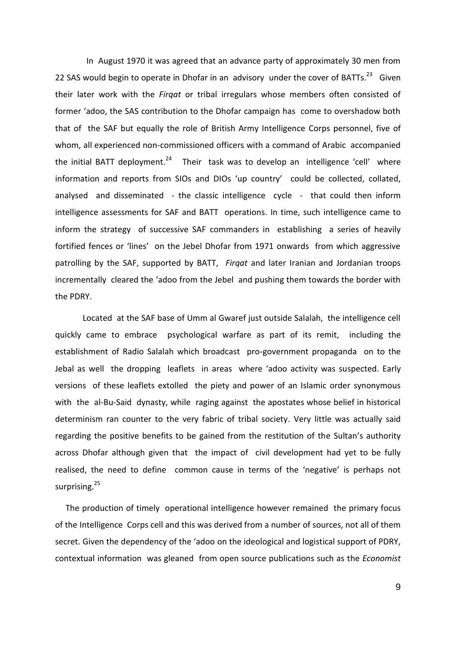In August 1970 it was agreed that an advance party of approximately 30 men from 22 SAS would begin to operate in Dhofar in an advisory under the cover of BATTs. $^{23}$  Given their later work with the *Firqat* or tribal irregulars whose members often consisted of former 'adoo, the SAS contribution to the Dhofar campaign has come to overshadow both that of the SAF but equally the role of British Army Intelligence Corps personnel, five of whom, all experienced non-commissioned officers with a command of Arabic accompanied the initial BATT deployment.<sup>24</sup> Their task was to develop an intelligence 'cell' where information and reports from SIOs and DIOs 'up country' could be collected, collated, analysed and disseminated - the classic intelligence cycle - that could then inform intelligence assessments for SAF and BATT operations. In time, such intelligence came to inform the strategy of successive SAF commanders in establishing a series of heavily fortified fences or 'lines' on the Jebel Dhofar from 1971 onwards from which aggressive patrolling by the SAF, supported by BATT, *Firqat* and later Iranian and Jordanian troops incrementally cleared the 'adoo from the Jebel and pushing them towards the border with the PDRY.

Located at the SAF base of Umm al Gwaref just outside Salalah, the intelligence cell quickly came to embrace psychological warfare as part of its remit, including the establishment of Radio Salalah which broadcast pro-government propaganda on to the Jebal as well the dropping leaflets in areas where 'adoo activity was suspected. Early versions of these leaflets extolled the piety and power of an Islamic order synonymous with the al-Bu-Said dynasty, while raging against the apostates whose belief in historical determinism ran counter to the very fabric of tribal society. Very little was actually said regarding the positive benefits to be gained from the restitution of the Sultan's authority across Dhofar although given that the impact of civil development had yet to be fully realised, the need to define common cause in terms of the 'negative' is perhaps not surprising.<sup>25</sup>

 The production of timely operational intelligence however remained the primary focus of the Intelligence Corps cell and this was derived from a number of sources, not all of them secret. Given the dependency of the 'adoo on the ideological and logistical support of PDRY, contextual information was gleaned from open source publications such as the *Economist*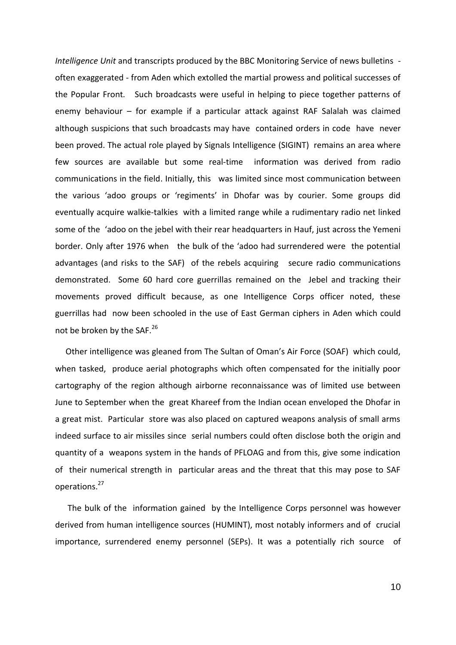*Intelligence Unit* and transcripts produced by the BBC Monitoring Service of news bulletins often exaggerated - from Aden which extolled the martial prowess and political successes of the Popular Front*.* Such broadcasts were useful in helping to piece together patterns of enemy behaviour – for example if a particular attack against RAF Salalah was claimed although suspicions that such broadcasts may have contained orders in code have never been proved. The actual role played by Signals Intelligence (SIGINT) remains an area where few sources are available but some real-time information was derived from radio communications in the field. Initially, this was limited since most communication between the various 'adoo groups or 'regiments' in Dhofar was by courier. Some groups did eventually acquire walkie-talkies with a limited range while a rudimentary radio net linked some of the 'adoo on the jebel with their rear headquarters in Hauf, just across the Yemeni border. Only after 1976 when the bulk of the 'adoo had surrendered were the potential advantages (and risks to the SAF) of the rebels acquiring secure radio communications demonstrated. Some 60 hard core guerrillas remained on the Jebel and tracking their movements proved difficult because, as one Intelligence Corps officer noted, these guerrillas had now been schooled in the use of East German ciphers in Aden which could not be broken by the SAF.<sup>26</sup>

 Other intelligence was gleaned from The Sultan of Oman's Air Force (SOAF) which could, when tasked, produce aerial photographs which often compensated for the initially poor cartography of the region although airborne reconnaissance was of limited use between June to September when the great Khareef from the Indian ocean enveloped the Dhofar in a great mist. Particular store was also placed on captured weapons analysis of small arms indeed surface to air missiles since serial numbers could often disclose both the origin and quantity of a weapons system in the hands of PFLOAG and from this, give some indication of their numerical strength in particular areas and the threat that this may pose to SAF operations.<sup>27</sup>

 The bulk of the information gained by the Intelligence Corps personnel was however derived from human intelligence sources (HUMINT), most notably informers and of crucial importance, surrendered enemy personnel (SEPs). It was a potentially rich source of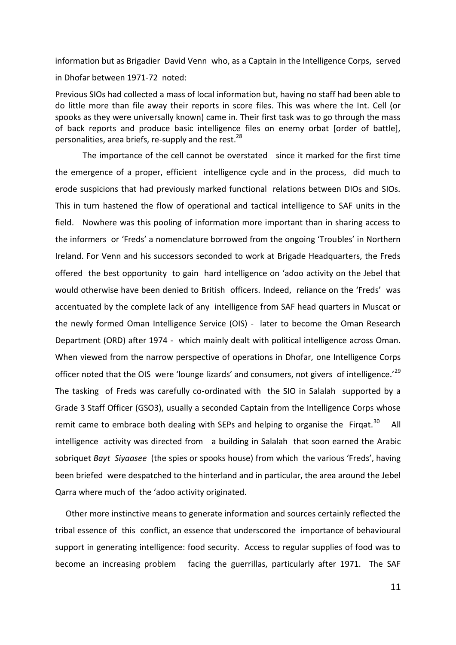information but as Brigadier David Venn who, as a Captain in the Intelligence Corps, served in Dhofar between 1971-72 noted:

Previous SIOs had collected a mass of local information but, having no staff had been able to do little more than file away their reports in score files. This was where the Int. Cell (or spooks as they were universally known) came in. Their first task was to go through the mass of back reports and produce basic intelligence files on enemy orbat [order of battle], personalities, area briefs, re-supply and the rest.<sup>28</sup>

The importance of the cell cannot be overstated since it marked for the first time the emergence of a proper, efficient intelligence cycle and in the process, did much to erode suspicions that had previously marked functional relations between DIOs and SIOs. This in turn hastened the flow of operational and tactical intelligence to SAF units in the field. Nowhere was this pooling of information more important than in sharing access to the informers or 'Freds' a nomenclature borrowed from the ongoing 'Troubles' in Northern Ireland. For Venn and his successors seconded to work at Brigade Headquarters, the Freds offered the best opportunity to gain hard intelligence on 'adoo activity on the Jebel that would otherwise have been denied to British officers. Indeed, reliance on the 'Freds' was accentuated by the complete lack of any intelligence from SAF head quarters in Muscat or the newly formed Oman Intelligence Service (OIS) - later to become the Oman Research Department (ORD) after 1974 - which mainly dealt with political intelligence across Oman. When viewed from the narrow perspective of operations in Dhofar, one Intelligence Corps officer noted that the OIS were 'lounge lizards' and consumers, not givers of intelligence.'<sup>29</sup> The tasking of Freds was carefully co-ordinated with the SIO in Salalah supported by a Grade 3 Staff Officer (GSO3), usually a seconded Captain from the Intelligence Corps whose remit came to embrace both dealing with SEPs and helping to organise the Firqat.<sup>30</sup> All intelligence activity was directed from a building in Salalah that soon earned the Arabic sobriquet *Bayt Siyaasee* (the spies or spooks house) from which the various 'Freds', having been briefed were despatched to the hinterland and in particular, the area around the Jebel Qarra where much of the 'adoo activity originated.

 Other more instinctive means to generate information and sources certainly reflected the tribal essence of this conflict, an essence that underscored the importance of behavioural support in generating intelligence: food security. Access to regular supplies of food was to become an increasing problem facing the guerrillas, particularly after 1971. The SAF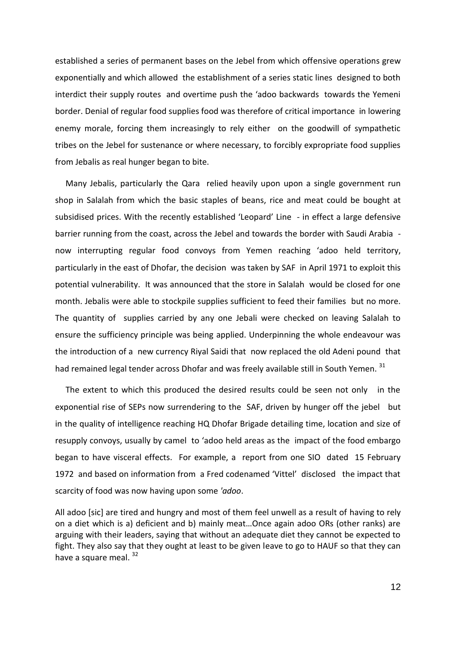established a series of permanent bases on the Jebel from which offensive operations grew exponentially and which allowed the establishment of a series static lines designed to both interdict their supply routes and overtime push the 'adoo backwards towards the Yemeni border. Denial of regular food supplies food was therefore of critical importance in lowering enemy morale, forcing them increasingly to rely either on the goodwill of sympathetic tribes on the Jebel for sustenance or where necessary, to forcibly expropriate food supplies from Jebalis as real hunger began to bite.

 Many Jebalis, particularly the Qara relied heavily upon upon a single government run shop in Salalah from which the basic staples of beans, rice and meat could be bought at subsidised prices. With the recently established 'Leopard' Line - in effect a large defensive barrier running from the coast, across the Jebel and towards the border with Saudi Arabia now interrupting regular food convoys from Yemen reaching 'adoo held territory, particularly in the east of Dhofar, the decision was taken by SAF in April 1971 to exploit this potential vulnerability. It was announced that the store in Salalah would be closed for one month. Jebalis were able to stockpile supplies sufficient to feed their families but no more. The quantity of supplies carried by any one Jebali were checked on leaving Salalah to ensure the sufficiency principle was being applied. Underpinning the whole endeavour was the introduction of a new currency Riyal Saidi that now replaced the old Adeni pound that had remained legal tender across Dhofar and was freely available still in South Yemen.<sup>31</sup>

 The extent to which this produced the desired results could be seen not only in the exponential rise of SEPs now surrendering to the SAF, driven by hunger off the jebel but in the quality of intelligence reaching HQ Dhofar Brigade detailing time, location and size of resupply convoys, usually by camel to 'adoo held areas as the impact of the food embargo began to have visceral effects. For example, a report from one SIO dated 15 February 1972 and based on information from a Fred codenamed 'Vittel' disclosed the impact that scarcity of food was now having upon some *'adoo*.

All adoo [sic] are tired and hungry and most of them feel unwell as a result of having to rely on a diet which is a) deficient and b) mainly meat…Once again adoo ORs (other ranks) are arguing with their leaders, saying that without an adequate diet they cannot be expected to fight. They also say that they ought at least to be given leave to go to HAUF so that they can have a square meal. 32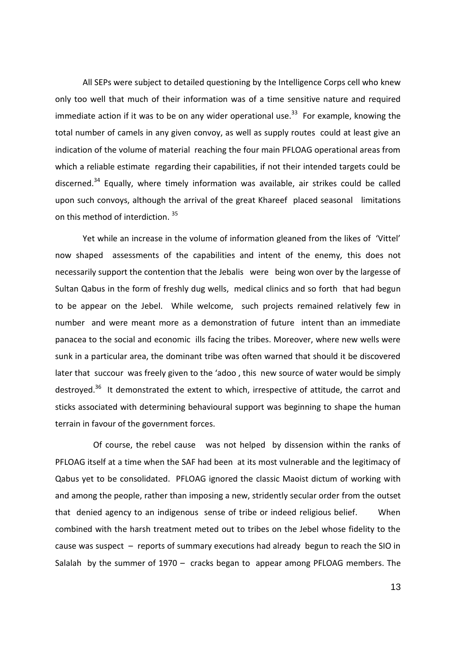All SEPs were subject to detailed questioning by the Intelligence Corps cell who knew only too well that much of their information was of a time sensitive nature and required immediate action if it was to be on any wider operational use. $33$  For example, knowing the total number of camels in any given convoy, as well as supply routes could at least give an indication of the volume of material reaching the four main PFLOAG operational areas from which a reliable estimate regarding their capabilities, if not their intended targets could be discerned.<sup>34</sup> Equally, where timely information was available, air strikes could be called upon such convoys, although the arrival of the great Khareef placed seasonal limitations on this method of interdiction.<sup>35</sup>

Yet while an increase in the volume of information gleaned from the likes of 'Vittel' now shaped assessments of the capabilities and intent of the enemy*,* this does not necessarily support the contention that the Jebalis were being won over by the largesse of Sultan Qabus in the form of freshly dug wells, medical clinics and so forth that had begun to be appear on the Jebel. While welcome, such projects remained relatively few in number and were meant more as a demonstration of future intent than an immediate panacea to the social and economic ills facing the tribes. Moreover, where new wells were sunk in a particular area, the dominant tribe was often warned that should it be discovered later that succour was freely given to the 'adoo , this new source of water would be simply destroyed.<sup>36</sup> It demonstrated the extent to which, irrespective of attitude, the carrot and sticks associated with determining behavioural support was beginning to shape the human terrain in favour of the government forces.

 Of course, the rebel cause was not helped by dissension within the ranks of PFLOAG itself at a time when the SAF had been at its most vulnerable and the legitimacy of Qabus yet to be consolidated. PFLOAG ignored the classic Maoist dictum of working with and among the people, rather than imposing a new, stridently secular order from the outset that denied agency to an indigenous sense of tribe or indeed religious belief. When combined with the harsh treatment meted out to tribes on the Jebel whose fidelity to the cause was suspect – reports of summary executions had already begun to reach the SIO in Salalah by the summer of 1970 – cracks began to appear among PFLOAG members. The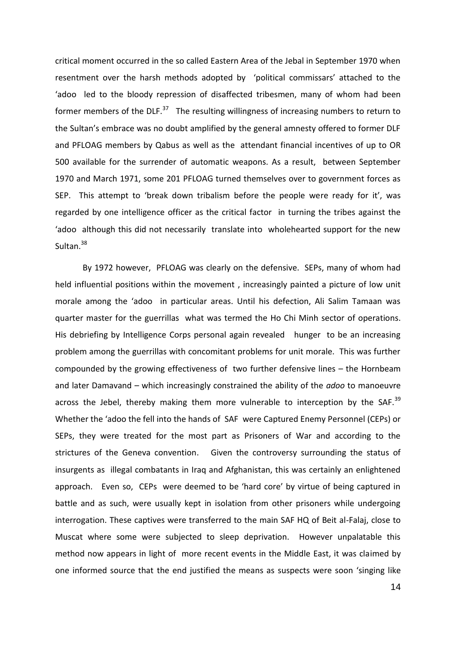critical moment occurred in the so called Eastern Area of the Jebal in September 1970 when resentment over the harsh methods adopted by 'political commissars' attached to the 'adoo led to the bloody repression of disaffected tribesmen, many of whom had been former members of the DLF.<sup>37</sup> The resulting willingness of increasing numbers to return to the Sultan's embrace was no doubt amplified by the general amnesty offered to former DLF and PFLOAG members by Qabus as well as the attendant financial incentives of up to OR 500 available for the surrender of automatic weapons. As a result, between September 1970 and March 1971, some 201 PFLOAG turned themselves over to government forces as SEP. This attempt to 'break down tribalism before the people were ready for it', was regarded by one intelligence officer as the critical factor in turning the tribes against the 'adoo although this did not necessarily translate into wholehearted support for the new Sultan.<sup>38</sup>

By 1972 however, PFLOAG was clearly on the defensive. SEPs, many of whom had held influential positions within the movement , increasingly painted a picture of low unit morale among the 'adoo in particular areas. Until his defection, Ali Salim Tamaan was quarter master for the guerrillas what was termed the Ho Chi Minh sector of operations. His debriefing by Intelligence Corps personal again revealed hunger to be an increasing problem among the guerrillas with concomitant problems for unit morale. This was further compounded by the growing effectiveness of two further defensive lines – the Hornbeam and later Damavand – which increasingly constrained the ability of the *adoo* to manoeuvre across the Jebel, thereby making them more vulnerable to interception by the SAF.<sup>39</sup> Whether the 'adoo the fell into the hands of SAF were Captured Enemy Personnel (CEPs) or SEPs, they were treated for the most part as Prisoners of War and according to the strictures of the Geneva convention. Given the controversy surrounding the status of insurgents as illegal combatants in Iraq and Afghanistan, this was certainly an enlightened approach. Even so, CEPs were deemed to be 'hard core' by virtue of being captured in battle and as such, were usually kept in isolation from other prisoners while undergoing interrogation. These captives were transferred to the main SAF HQ of Beit al-Falaj, close to Muscat where some were subjected to sleep deprivation. However unpalatable this method now appears in light of more recent events in the Middle East, it was claimed by one informed source that the end justified the means as suspects were soon 'singing like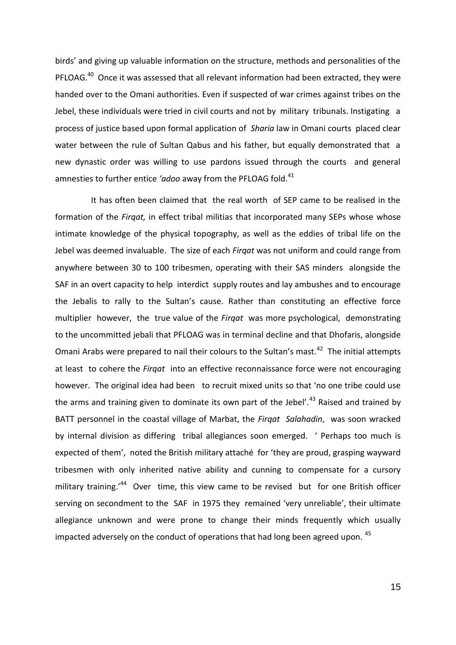birds' and giving up valuable information on the structure, methods and personalities of the PFLOAG.<sup>40</sup> Once it was assessed that all relevant information had been extracted, they were handed over to the Omani authorities. Even if suspected of war crimes against tribes on the Jebel, these individuals were tried in civil courts and not by military tribunals. Instigating a process of justice based upon formal application of *Sharia* law in Omani courts placed clear water between the rule of Sultan Qabus and his father, but equally demonstrated that a new dynastic order was willing to use pardons issued through the courts and general amnesties to further entice 'adoo away from the PFLOAG fold.<sup>41</sup>

 It has often been claimed that the real worth of SEP came to be realised in the formation of the *Firqat,* in effect tribal militias that incorporated many SEPs whose whose intimate knowledge of the physical topography, as well as the eddies of tribal life on the Jebel was deemed invaluable. The size of each *Firqat* was not uniform and could range from anywhere between 30 to 100 tribesmen, operating with their SAS minders alongside the SAF in an overt capacity to help interdict supply routes and lay ambushes and to encourage the Jebalis to rally to the Sultan's cause. Rather than constituting an effective force multiplier however, the true value of the *Firqat* was more psychological, demonstrating to the uncommitted jebali that PFLOAG was in terminal decline and that Dhofaris, alongside Omani Arabs were prepared to nail their colours to the Sultan's mast.<sup>42</sup> The initial attempts at least to cohere the *Firqat* into an effective reconnaissance force were not encouraging however. The original idea had been to recruit mixed units so that 'no one tribe could use the arms and training given to dominate its own part of the Jebel'.<sup>43</sup> Raised and trained by BATT personnel in the coastal village of Marbat, the *Firqat Salahadin*, was soon wracked by internal division as differing tribal allegiances soon emerged. ' Perhaps too much is expected of them', noted the British military attaché for 'they are proud, grasping wayward tribesmen with only inherited native ability and cunning to compensate for a cursory military training.<sup>,44</sup> Over time, this view came to be revised but for one British officer serving on secondment to the SAF in 1975 they remained 'very unreliable', their ultimate allegiance unknown and were prone to change their minds frequently which usually impacted adversely on the conduct of operations that had long been agreed upon.<sup>45</sup>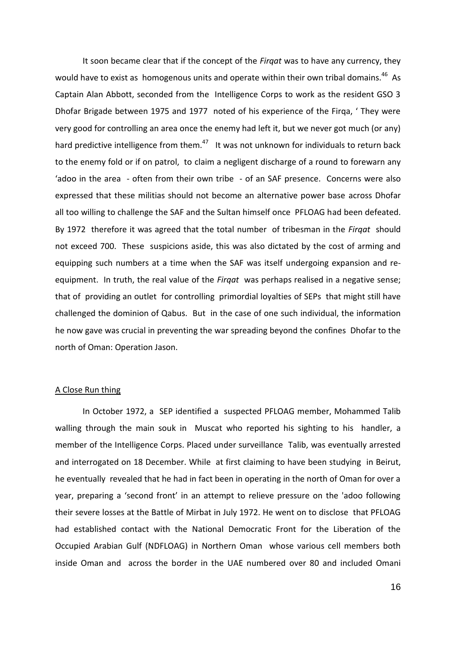It soon became clear that if the concept of the *Firqat* was to have any currency, they would have to exist as homogenous units and operate within their own tribal domains.<sup>46</sup> As Captain Alan Abbott, seconded from the Intelligence Corps to work as the resident GSO 3 Dhofar Brigade between 1975 and 1977 noted of his experience of the Firqa, ' They were very good for controlling an area once the enemy had left it, but we never got much (or any) hard predictive intelligence from them.<sup>47</sup> It was not unknown for individuals to return back to the enemy fold or if on patrol, to claim a negligent discharge of a round to forewarn any 'adoo in the area - often from their own tribe - of an SAF presence. Concerns were also expressed that these militias should not become an alternative power base across Dhofar all too willing to challenge the SAF and the Sultan himself once PFLOAG had been defeated. By 1972 therefore it was agreed that the total number of tribesman in the *Firqat* should not exceed 700. These suspicions aside, this was also dictated by the cost of arming and equipping such numbers at a time when the SAF was itself undergoing expansion and reequipment. In truth, the real value of the *Firqat* was perhaps realised in a negative sense; that of providing an outlet for controlling primordial loyalties of SEPs that might still have challenged the dominion of Qabus. But in the case of one such individual, the information he now gave was crucial in preventing the war spreading beyond the confines Dhofar to the north of Oman: Operation Jason.

### A Close Run thing

In October 1972, a SEP identified a suspected PFLOAG member, Mohammed Talib walling through the main souk in Muscat who reported his sighting to his handler, a member of the Intelligence Corps. Placed under surveillance Talib, was eventually arrested and interrogated on 18 December. While at first claiming to have been studying in Beirut, he eventually revealed that he had in fact been in operating in the north of Oman for over a year, preparing a 'second front' in an attempt to relieve pressure on the 'adoo following their severe losses at the Battle of Mirbat in July 1972. He went on to disclose that PFLOAG had established contact with the National Democratic Front for the Liberation of the Occupied Arabian Gulf (NDFLOAG) in Northern Oman whose various cell members both inside Oman and across the border in the UAE numbered over 80 and included Omani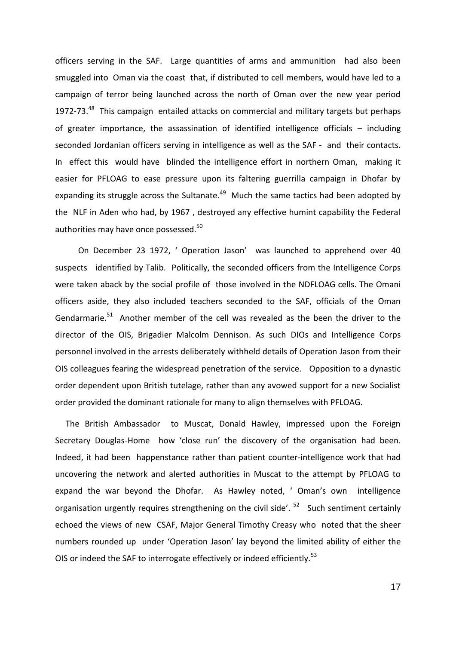officers serving in the SAF. Large quantities of arms and ammunition had also been smuggled into Oman via the coast that, if distributed to cell members, would have led to a campaign of terror being launched across the north of Oman over the new year period 1972-73.<sup>48</sup> This campaign entailed attacks on commercial and military targets but perhaps of greater importance, the assassination of identified intelligence officials – including seconded Jordanian officers serving in intelligence as well as the SAF - and their contacts. In effect this would have blinded the intelligence effort in northern Oman, making it easier for PFLOAG to ease pressure upon its faltering guerrilla campaign in Dhofar by expanding its struggle across the Sultanate.<sup>49</sup> Much the same tactics had been adopted by the NLF in Aden who had, by 1967 , destroyed any effective humint capability the Federal authorities may have once possessed.<sup>50</sup>

 On December 23 1972, ' Operation Jason' was launched to apprehend over 40 suspects identified by Talib. Politically, the seconded officers from the Intelligence Corps were taken aback by the social profile of those involved in the NDFLOAG cells. The Omani officers aside, they also included teachers seconded to the SAF, officials of the Oman Gendarmarie.<sup>51</sup> Another member of the cell was revealed as the been the driver to the director of the OIS, Brigadier Malcolm Dennison. As such DIOs and Intelligence Corps personnel involved in the arrests deliberately withheld details of Operation Jason from their OIS colleagues fearing the widespread penetration of the service. Opposition to a dynastic order dependent upon British tutelage, rather than any avowed support for a new Socialist order provided the dominant rationale for many to align themselves with PFLOAG.

 The British Ambassador to Muscat, Donald Hawley, impressed upon the Foreign Secretary Douglas-Home how 'close run' the discovery of the organisation had been. Indeed, it had been happenstance rather than patient counter-intelligence work that had uncovering the network and alerted authorities in Muscat to the attempt by PFLOAG to expand the war beyond the Dhofar. As Hawley noted, ' Oman's own intelligence organisation urgently requires strengthening on the civil side'. <sup>52</sup> Such sentiment certainly echoed the views of new CSAF, Major General Timothy Creasy who noted that the sheer numbers rounded up under 'Operation Jason' lay beyond the limited ability of either the OIS or indeed the SAF to interrogate effectively or indeed efficiently.<sup>53</sup>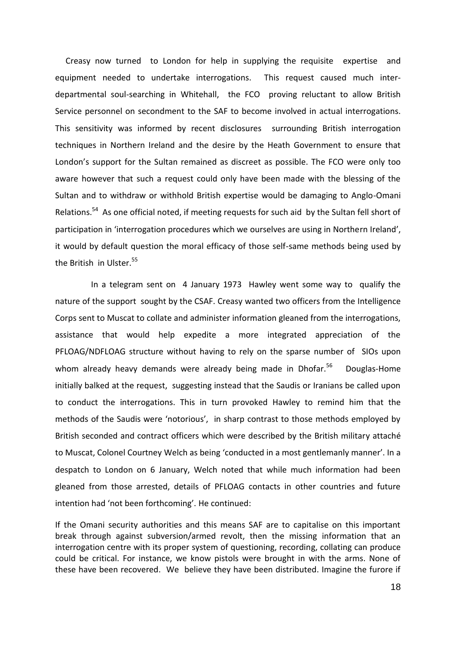Creasy now turned to London for help in supplying the requisite expertise and equipment needed to undertake interrogations. This request caused much interdepartmental soul-searching in Whitehall, the FCO proving reluctant to allow British Service personnel on secondment to the SAF to become involved in actual interrogations. This sensitivity was informed by recent disclosures surrounding British interrogation techniques in Northern Ireland and the desire by the Heath Government to ensure that London's support for the Sultan remained as discreet as possible. The FCO were only too aware however that such a request could only have been made with the blessing of the Sultan and to withdraw or withhold British expertise would be damaging to Anglo-Omani Relations.<sup>54</sup> As one official noted, if meeting requests for such aid by the Sultan fell short of participation in 'interrogation procedures which we ourselves are using in Northern Ireland', it would by default question the moral efficacy of those self-same methods being used by the British in Ulster.<sup>55</sup>

 In a telegram sent on 4 January 1973 Hawley went some way to qualify the nature of the support sought by the CSAF. Creasy wanted two officers from the Intelligence Corps sent to Muscat to collate and administer information gleaned from the interrogations, assistance that would help expedite a more integrated appreciation of the PFLOAG/NDFLOAG structure without having to rely on the sparse number of SIOs upon whom already heavy demands were already being made in Dhofar.<sup>56</sup> Douglas-Home initially balked at the request, suggesting instead that the Saudis or Iranians be called upon to conduct the interrogations. This in turn provoked Hawley to remind him that the methods of the Saudis were 'notorious', in sharp contrast to those methods employed by British seconded and contract officers which were described by the British military attaché to Muscat, Colonel Courtney Welch as being 'conducted in a most gentlemanly manner'. In a despatch to London on 6 January, Welch noted that while much information had been gleaned from those arrested, details of PFLOAG contacts in other countries and future intention had 'not been forthcoming'. He continued:

If the Omani security authorities and this means SAF are to capitalise on this important break through against subversion/armed revolt, then the missing information that an interrogation centre with its proper system of questioning, recording, collating can produce could be critical. For instance, we know pistols were brought in with the arms. None of these have been recovered. We believe they have been distributed. Imagine the furore if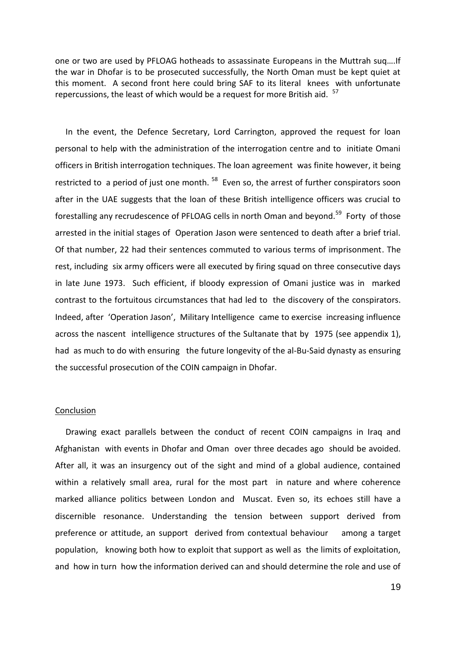one or two are used by PFLOAG hotheads to assassinate Europeans in the Muttrah suq….If the war in Dhofar is to be prosecuted successfully, the North Oman must be kept quiet at this moment. A second front here could bring SAF to its literal knees with unfortunate repercussions, the least of which would be a request for more British aid. <sup>57</sup>

 In the event, the Defence Secretary, Lord Carrington, approved the request for loan personal to help with the administration of the interrogation centre and to initiate Omani officers in British interrogation techniques. The loan agreement was finite however, it being restricted to a period of just one month. <sup>58</sup> Even so, the arrest of further conspirators soon after in the UAE suggests that the loan of these British intelligence officers was crucial to forestalling any recrudescence of PFLOAG cells in north Oman and beyond.<sup>59</sup> Forty of those arrested in the initial stages of Operation Jason were sentenced to death after a brief trial. Of that number, 22 had their sentences commuted to various terms of imprisonment. The rest, including six army officers were all executed by firing squad on three consecutive days in late June 1973. Such efficient, if bloody expression of Omani justice was in marked contrast to the fortuitous circumstances that had led to the discovery of the conspirators. Indeed, after 'Operation Jason', Military Intelligence came to exercise increasing influence across the nascent intelligence structures of the Sultanate that by 1975 (see appendix 1), had as much to do with ensuring the future longevity of the al-Bu-Said dynasty as ensuring the successful prosecution of the COIN campaign in Dhofar.

#### **Conclusion**

 Drawing exact parallels between the conduct of recent COIN campaigns in Iraq and Afghanistan with events in Dhofar and Oman over three decades ago should be avoided. After all, it was an insurgency out of the sight and mind of a global audience, contained within a relatively small area, rural for the most part in nature and where coherence marked alliance politics between London and Muscat. Even so, its echoes still have a discernible resonance. Understanding the tension between support derived from preference or attitude, an support derived from contextual behaviour among a target population, knowing both how to exploit that support as well as the limits of exploitation, and how in turn how the information derived can and should determine the role and use of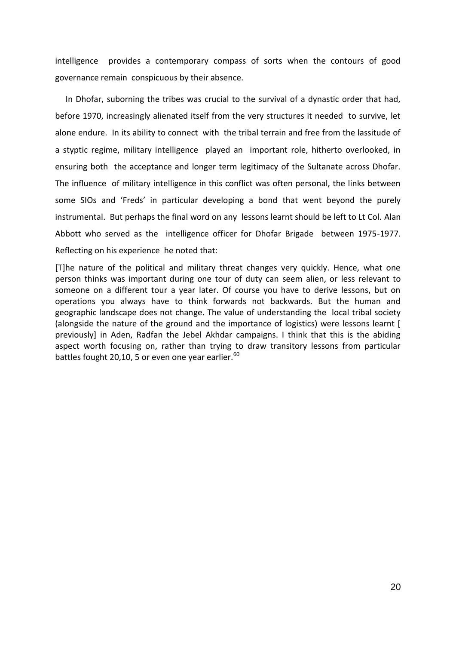intelligence provides a contemporary compass of sorts when the contours of good governance remain conspicuous by their absence.

 In Dhofar, suborning the tribes was crucial to the survival of a dynastic order that had, before 1970, increasingly alienated itself from the very structures it needed to survive, let alone endure. In its ability to connect with the tribal terrain and free from the lassitude of a styptic regime, military intelligence played an important role, hitherto overlooked, in ensuring both the acceptance and longer term legitimacy of the Sultanate across Dhofar. The influence of military intelligence in this conflict was often personal, the links between some SIOs and 'Freds' in particular developing a bond that went beyond the purely instrumental. But perhaps the final word on any lessons learnt should be left to Lt Col. Alan Abbott who served as the intelligence officer for Dhofar Brigade between 1975-1977. Reflecting on his experience he noted that:

[T]he nature of the political and military threat changes very quickly. Hence, what one person thinks was important during one tour of duty can seem alien, or less relevant to someone on a different tour a year later. Of course you have to derive lessons, but on operations you always have to think forwards not backwards. But the human and geographic landscape does not change. The value of understanding the local tribal society (alongside the nature of the ground and the importance of logistics) were lessons learnt [ previously] in Aden, Radfan the Jebel Akhdar campaigns. I think that this is the abiding aspect worth focusing on, rather than trying to draw transitory lessons from particular battles fought 20,10, 5 or even one year earlier.<sup>60</sup>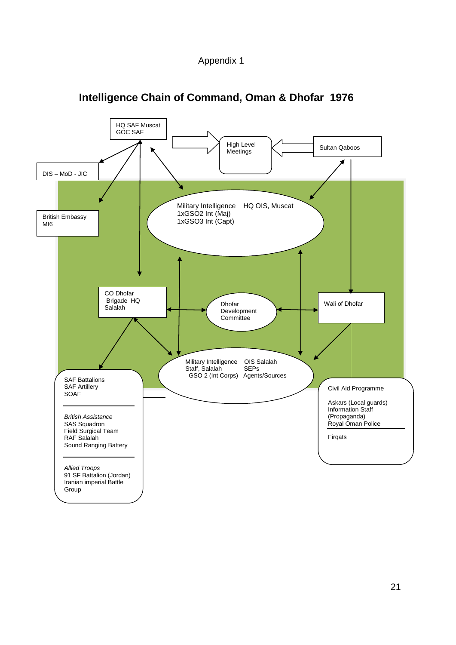Appendix 1



# **Intelligence Chain of Command, Oman & Dhofar 1976**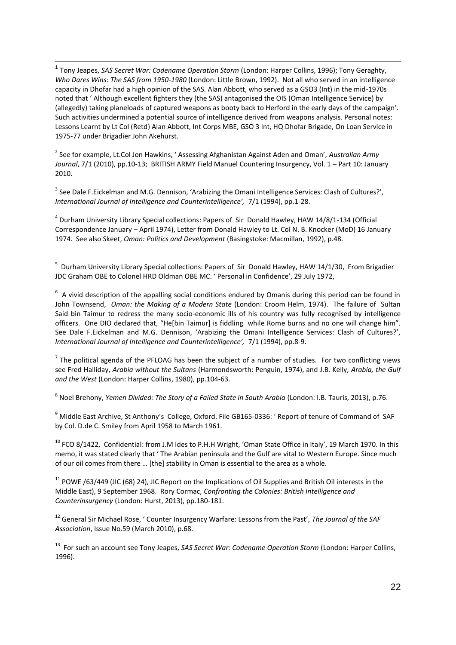1 Tony Jeapes, *SAS Secret War: Codename Operation Storm* (London: Harper Collins, 1996); Tony Geraghty, *Who Dares Wins: The SAS from 1950-1980* (London: Little Brown, 1992). Not all who served in an intelligence capacity in Dhofar had a high opinion of the SAS. Alan Abbott, who served as a GSO3 (Int) in the mid-1970s noted that ' Although excellent fighters they (the SAS) antagonised the OIS (Oman Intelligence Service) by (allegedly) taking planeloads of captured weapons as booty back to Herford in the early days of the campaign'. Such activities undermined a potential source of intelligence derived from weapons analysis. Personal notes: Lessons Learnt by Lt Col (Retd) Alan Abbott, Int Corps MBE, GSO 3 Int, HQ Dhofar Brigade, On Loan Service in 1975-77 under Brigadier John Akehurst.

1

2 See for example, Lt.Col Jon Hawkins, ' Assessing Afghanistan Against Aden and Oman', *Australian Army Journal*, 7/1 (2010), pp.10-13; BRITISH ARMY Field Manuel Countering Insurgency, Vol. 1 – Part 10: January 2010.

<sup>3</sup> See Dale F.Eickelman and M.G. Dennison, 'Arabizing the Omani Intelligence Services: Clash of Cultures?', *International Journal of Intelligence and Counterintelligence',* 7/1 (1994), pp.1-28.

4 Durham University Library Special collections: Papers of Sir Donald Hawley, HAW 14/8/1-134 (Official Correspondence January – April 1974), Letter from Donald Hawley to Lt. Col N. B. Knocker (MoD) 16 January 1974. See also Skeet, *Oman: Politics and Development* (Basingstoke: Macmillan, 1992), p.48.

<sup>5</sup> Durham University Library Special collections: Papers of Sir Donald Hawley, HAW 14/1/30, From Brigadier JDC Graham OBE to Colonel HRD Oldman OBE MC. ' Personal in Confidence', 29 July 1972,

 $6\,$  A vivid description of the appalling social conditions endured by Omanis during this period can be found in John Townsend, *Oman: the Making of a Modern State* (London: Croom Helm, 1974). The failure of Sultan Said bin Taimur to redress the many socio-economic ills of his country was fully recognised by intelligence officers. One DIO declared that, "He[bin Taimur] is fiddling while Rome burns and no one will change him". See Dale F.Eickelman and M.G. Dennison, 'Arabizing the Omani Intelligence Services: Clash of Cultures?', *International Journal of Intelligence and Counterintelligence',* 7/1 (1994), pp.8-9.

 $<sup>7</sup>$  The political agenda of the PFLOAG has been the subject of a number of studies. For two conflicting views</sup> see Fred Halliday, *Arabia without the Sultans* (Harmondsworth: Penguin, 1974), and J.B. Kelly, *Arabia, the Gulf and the West* (London: Harper Collins, 1980), pp.104-63.

<sup>8</sup> Noel Brehony, *Yemen Divided: The Story of a Failed State in South Arabia* (London: I.B. Tauris, 2013), p.76.

<sup>9</sup> Middle East Archive, St Anthony's College, Oxford. File GB165-0336: 'Report of tenure of Command of SAF by Col. D.de C. Smiley from April 1958 to March 1961.

<sup>10</sup> FCO 8/1422, Confidential: from J.M Ides to P.H.H Wright, 'Oman State Office in Italy', 19 March 1970. In this memo, it was stated clearly that ' The Arabian peninsula and the Gulf are vital to Western Europe. Since much of our oil comes from there … [the] stability in Oman is essential to the area as a whole.

 $11$  POWE /63/449 (JIC (68) 24), JIC Report on the Implications of Oil Supplies and British Oil interests in the Middle East), 9 September 1968. Rory Cormac, *Confronting the Colonies: British Intelligence and Counterinsurgency* (London: Hurst, 2013), pp.180-181.

<sup>12</sup> General Sir Michael Rose, ' Counter Insurgency Warfare: Lessons from the Past', *The Journal of the SAF Association*, Issue No.59 (March 2010), p.68.

<sup>13</sup> For such an account see Tony Jeapes, SAS Secret War: Codename Operation Storm (London: Harper Collins, 1996).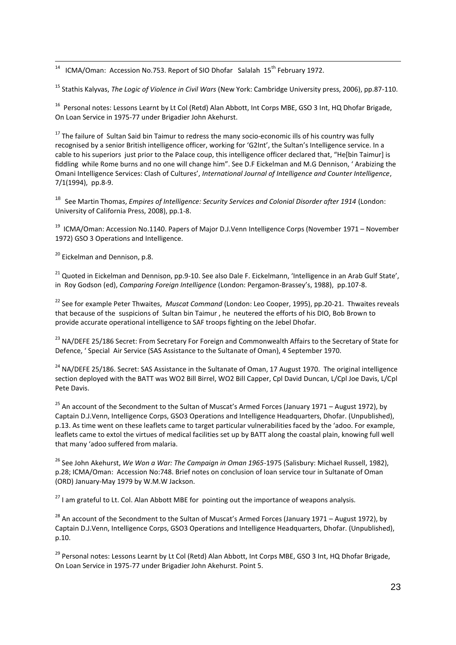14 ICMA/Oman: Accession No.753. Report of SIO Dhofar Salalah 15th February 1972.

<sup>15</sup> Stathis Kalyvas, *The Logic of Violence in Civil Wars* (New York: Cambridge University press, 2006), pp.87-110.

<sup>16</sup> Personal notes: Lessons Learnt by Lt Col (Retd) Alan Abbott, Int Corps MBE, GSO 3 Int, HQ Dhofar Brigade, On Loan Service in 1975-77 under Brigadier John Akehurst.

<sup>17</sup> The failure of Sultan Said bin Taimur to redress the many socio-economic ills of his country was fully recognised by a senior British intelligence officer, working for 'G2Int', the Sultan's Intelligence service. In a cable to his superiors just prior to the Palace coup, this intelligence officer declared that, "He[bin Taimur] is fiddling while Rome burns and no one will change him". See D.F Eickelman and M.G Dennison, ' Arabizing the Omani Intelligence Services: Clash of Cultures', *International Journal of Intelligence and Counter Intelligence*, 7/1(1994), pp.8-9.

18 See Martin Thomas, *Empires of Intelligence: Security Services and Colonial Disorder after 1914* (London: University of California Press, 2008), pp.1-8.

<sup>19</sup> ICMA/Oman: Accession No.1140. Papers of Major D.J.Venn Intelligence Corps (November 1971 – November 1972) GSO 3 Operations and Intelligence.

 $20$  Eickelman and Dennison, p.8.

<sup>21</sup> Quoted in Eickelman and Dennison, pp.9-10. See also Dale F. Eickelmann, 'Intelligence in an Arab Gulf State', in Roy Godson (ed), *Comparing Foreign Intelligence* (London: Pergamon-Brassey's, 1988), pp.107-8.

<sup>22</sup> See for example Peter Thwaites, *Muscat Command* (London: Leo Cooper, 1995), pp.20-21. Thwaites reveals that because of the suspicions of Sultan bin Taimur , he neutered the efforts of his DIO, Bob Brown to provide accurate operational intelligence to SAF troops fighting on the Jebel Dhofar.

<sup>23</sup> NA/DEFE 25/186 Secret: From Secretary For Foreign and Commonwealth Affairs to the Secretary of State for Defence, ' Special Air Service (SAS Assistance to the Sultanate of Oman), 4 September 1970.

<sup>24</sup> NA/DEFE 25/186. Secret: SAS Assistance in the Sultanate of Oman, 17 August 1970. The original intelligence section deployed with the BATT was WO2 Bill Birrel, WO2 Bill Capper, Cpl David Duncan, L/Cpl Joe Davis, L/Cpl Pete Davis.

<sup>25</sup> An account of the Secondment to the Sultan of Muscat's Armed Forces (January 1971 – August 1972), by Captain D.J.Venn, Intelligence Corps, GSO3 Operations and Intelligence Headquarters, Dhofar. (Unpublished), p.13. As time went on these leaflets came to target particular vulnerabilities faced by the 'adoo. For example, leaflets came to extol the virtues of medical facilities set up by BATT along the coastal plain, knowing full well that many 'adoo suffered from malaria.

<sup>26</sup> See John Akehurst, *We Won a War: The Campaign in Oman 1965-*1975 (Salisbury: Michael Russell, 1982), p.28; ICMA/Oman: Accession No:748. Brief notes on conclusion of loan service tour in Sultanate of Oman (ORD) January-May 1979 by W.M.W Jackson.

 $27$  I am grateful to Lt. Col. Alan Abbott MBE for pointing out the importance of weapons analysis.

<sup>28</sup> An account of the Secondment to the Sultan of Muscat's Armed Forces (January 1971 – August 1972), by Captain D.J.Venn, Intelligence Corps, GSO3 Operations and Intelligence Headquarters, Dhofar. (Unpublished), p.10.

<sup>29</sup> Personal notes: Lessons Learnt by Lt Col (Retd) Alan Abbott, Int Corps MBE, GSO 3 Int, HQ Dhofar Brigade, On Loan Service in 1975-77 under Brigadier John Akehurst. Point 5.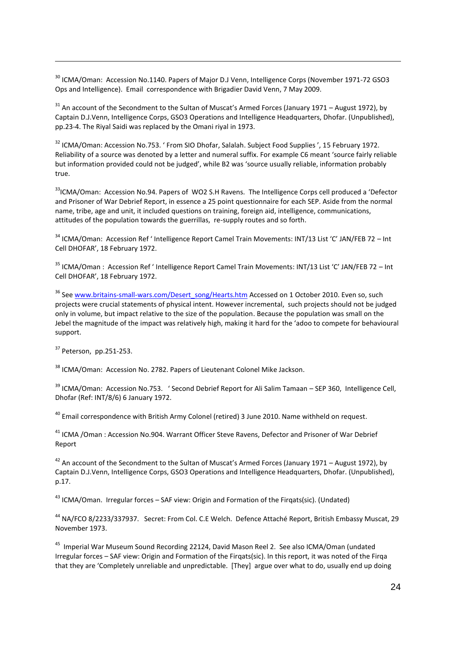<sup>30</sup> ICMA/Oman: Accession No.1140. Papers of Major D.J Venn, Intelligence Corps (November 1971-72 GSO3 Ops and Intelligence). Email correspondence with Brigadier David Venn, 7 May 2009.

 $31$  An account of the Secondment to the Sultan of Muscat's Armed Forces (January 1971 – August 1972), by Captain D.J.Venn, Intelligence Corps, GSO3 Operations and Intelligence Headquarters, Dhofar. (Unpublished), pp.23-4. The Riyal Saidi was replaced by the Omani riyal in 1973.

<sup>32</sup> ICMA/Oman: Accession No.753. ' From SIO Dhofar, Salalah. Subject Food Supplies ', 15 February 1972. Reliability of a source was denoted by a letter and numeral suffix. For example C6 meant 'source fairly reliable but information provided could not be judged', while B2 was 'source usually reliable, information probably true.

<sup>33</sup>ICMA/Oman: Accession No.94. Papers of WO2 S.H Ravens. The Intelligence Corps cell produced a 'Defector and Prisoner of War Debrief Report, in essence a 25 point questionnaire for each SEP. Aside from the normal name, tribe, age and unit, it included questions on training, foreign aid, intelligence, communications, attitudes of the population towards the guerrillas, re-supply routes and so forth.

<sup>34</sup> ICMA/Oman: Accession Ref ' Intelligence Report Camel Train Movements: INT/13 List 'C' JAN/FEB 72 – Int Cell DHOFAR', 18 February 1972.

<sup>35</sup> ICMA/Oman : Accession Ref ' Intelligence Report Camel Train Movements: INT/13 List 'C' JAN/FEB 72 – Int Cell DHOFAR', 18 February 1972.

<sup>36</sup> Se[e www.britains-small-wars.com/Desert\\_song/Hearts.htm](http://www.britains-small-wars.com/Desert_song/Hearts.htm) Accessed on 1 October 2010. Even so, such projects were crucial statements of physical intent. However incremental, such projects should not be judged only in volume, but impact relative to the size of the population. Because the population was small on the Jebel the magnitude of the impact was relatively high, making it hard for the 'adoo to compete for behavioural support.

<sup>37</sup> Peterson, pp.251-253.

1

<sup>38</sup> ICMA/Oman: Accession No. 2782. Papers of Lieutenant Colonel Mike Jackson.

<sup>39</sup> ICMA/Oman: Accession No.753. 'Second Debrief Report for Ali Salim Tamaan – SEP 360, Intelligence Cell, Dhofar (Ref: INT/8/6) 6 January 1972.

<sup>40</sup> Email correspondence with British Army Colonel (retired) 3 June 2010. Name withheld on request.

<sup>41</sup> ICMA /Oman : Accession No.904. Warrant Officer Steve Ravens, Defector and Prisoner of War Debrief Report

 $42$  An account of the Secondment to the Sultan of Muscat's Armed Forces (January 1971 – August 1972), by Captain D.J.Venn, Intelligence Corps, GSO3 Operations and Intelligence Headquarters, Dhofar. (Unpublished), p.17.

 $43$  ICMA/Oman. Irregular forces – SAF view: Origin and Formation of the Firgats(sic). (Undated)

<sup>44</sup> NA/FCO 8/2233/337937. Secret: From Col. C.E Welch. Defence Attaché Report, British Embassy Muscat, 29 November 1973.

<sup>45</sup> Imperial War Museum Sound Recording 22124, David Mason Reel 2. See also ICMA/Oman (undated Irregular forces – SAF view: Origin and Formation of the Firqats(sic). In this report, it was noted of the Firqa that they are 'Completely unreliable and unpredictable. [They] argue over what to do, usually end up doing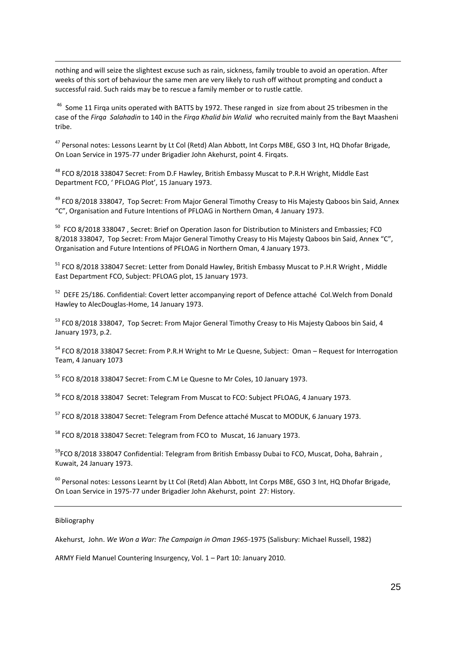nothing and will seize the slightest excuse such as rain, sickness, family trouble to avoid an operation. After weeks of this sort of behaviour the same men are very likely to rush off without prompting and conduct a successful raid. Such raids may be to rescue a family member or to rustle cattle.

<sup>46</sup> Some 11 Firqa units operated with BATTS by 1972. These ranged in size from about 25 tribesmen in the case of the *Firqa Salahadin* to 140 in the *Firqa Khalid bin Walid* who recruited mainly from the Bayt Maasheni tribe.

<sup>47</sup> Personal notes: Lessons Learnt by Lt Col (Retd) Alan Abbott, Int Corps MBE, GSO 3 Int, HQ Dhofar Brigade, On Loan Service in 1975-77 under Brigadier John Akehurst, point 4. Firqats.

<sup>48</sup> FCO 8/2018 338047 Secret: From D.F Hawley, British Embassy Muscat to P.R.H Wright, Middle East Department FCO, ' PFLOAG Plot', 15 January 1973.

<sup>49</sup> FC0 8/2018 338047, Top Secret: From Major General Timothy Creasy to His Majesty Qaboos bin Said, Annex "C", Organisation and Future Intentions of PFLOAG in Northern Oman, 4 January 1973.

<sup>50</sup> FCO 8/2018 338047, Secret: Brief on Operation Jason for Distribution to Ministers and Embassies; FCO 8/2018 338047, Top Secret: From Major General Timothy Creasy to His Majesty Qaboos bin Said, Annex "C", Organisation and Future Intentions of PFLOAG in Northern Oman, 4 January 1973.

<sup>51</sup> FCO 8/2018 338047 Secret: Letter from Donald Hawley, British Embassy Muscat to P.H.R Wright, Middle East Department FCO, Subject: PFLOAG plot, 15 January 1973.

<sup>52</sup> DEFE 25/186. Confidential: Covert letter accompanying report of Defence attaché Col. Welch from Donald Hawley to AlecDouglas-Home, 14 January 1973.

<sup>53</sup> FC0 8/2018 338047. Top Secret: From Major General Timothy Creasy to His Majesty Qaboos bin Said, 4 January 1973, p.2.

<sup>54</sup> FCO 8/2018 338047 Secret: From P.R.H Wright to Mr Le Quesne, Subject: Oman – Request for Interrogation Team, 4 January 1073

<sup>55</sup> FCO 8/2018 338047 Secret: From C.M Le Quesne to Mr Coles, 10 January 1973.

<sup>56</sup> FCO 8/2018 338047 Secret: Telegram From Muscat to FCO: Subject PFLOAG, 4 January 1973.

<sup>57</sup> FCO 8/2018 338047 Secret: Telegram From Defence attaché Muscat to MODUK, 6 January 1973.

<sup>58</sup> FCO 8/2018 338047 Secret: Telegram from FCO to Muscat, 16 January 1973.

<sup>59</sup>FCO 8/2018 338047 Confidential: Telegram from British Embassy Dubai to FCO, Muscat, Doha, Bahrain, Kuwait, 24 January 1973.

<sup>60</sup> Personal notes: Lessons Learnt by Lt Col (Retd) Alan Abbott, Int Corps MBE, GSO 3 Int, HQ Dhofar Brigade, On Loan Service in 1975-77 under Brigadier John Akehurst, point 27: History.

### Bibliography

1

Akehurst, John. *We Won a War: The Campaign in Oman 1965-*1975 (Salisbury: Michael Russell, 1982)

ARMY Field Manuel Countering Insurgency, Vol. 1 – Part 10: January 2010.